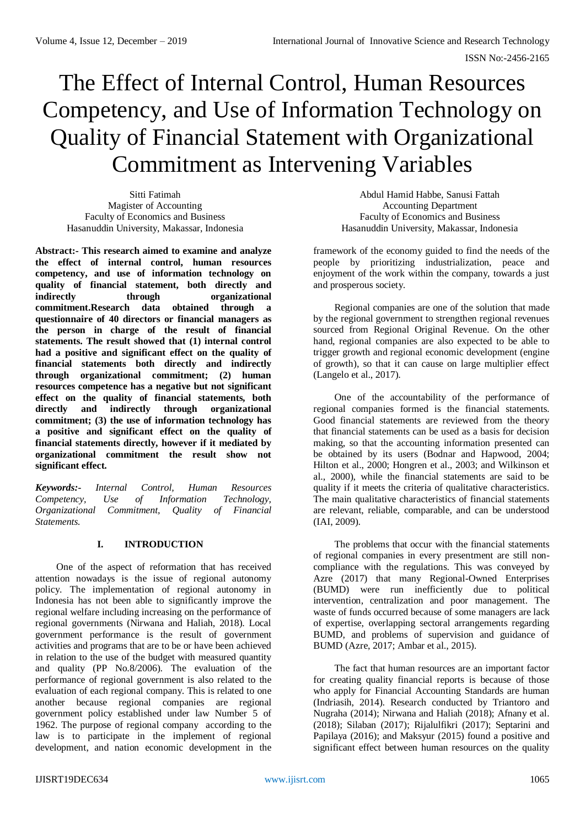# The Effect of Internal Control, Human Resources Competency, and Use of Information Technology on Quality of Financial Statement with Organizational Commitment as Intervening Variables

Sitti Fatimah Magister of Accounting Faculty of Economics and Business Hasanuddin University, Makassar, Indonesia

**Abstract:- This research aimed to examine and analyze the effect of internal control, human resources competency, and use of information technology on quality of financial statement, both directly and indirectly through organizational commitment.Research data obtained through a questionnaire of 40 directors or financial managers as the person in charge of the result of financial statements. The result showed that (1) internal control had a positive and significant effect on the quality of financial statements both directly and indirectly through organizational commitment; (2) human resources competence has a negative but not significant effect on the quality of financial statements, both directly and indirectly through organizational commitment; (3) the use of information technology has a positive and significant effect on the quality of financial statements directly, however if it mediated by organizational commitment the result show not significant effect.**

*Keywords:- Internal Control, Human Resources Competency, Use of Information Technology, Organizational Commitment, Quality of Financial Statements.*

# **I. INTRODUCTION**

One of the aspect of reformation that has received attention nowadays is the issue of regional autonomy policy. The implementation of regional autonomy in Indonesia has not been able to significantly improve the regional welfare including increasing on the performance of regional governments (Nirwana and Haliah, 2018). Local government performance is the result of government activities and programs that are to be or have been achieved in relation to the use of the budget with measured quantity and quality (PP No.8/2006). The evaluation of the performance of regional government is also related to the evaluation of each regional company. This is related to one another because regional companies are regional government policy established under law Number 5 of 1962. The purpose of regional company according to the law is to participate in the implement of regional development, and nation economic development in the

Abdul Hamid Habbe, Sanusi Fattah Accounting Department Faculty of Economics and Business Hasanuddin University, Makassar, Indonesia

framework of the economy guided to find the needs of the people by prioritizing industrialization, peace and enjoyment of the work within the company, towards a just and prosperous society.

Regional companies are one of the solution that made by the regional government to strengthen regional revenues sourced from Regional Original Revenue. On the other hand, regional companies are also expected to be able to trigger growth and regional economic development (engine of growth), so that it can cause on large multiplier effect (Langelo et al., 2017).

One of the accountability of the performance of regional companies formed is the financial statements. Good financial statements are reviewed from the theory that financial statements can be used as a basis for decision making, so that the accounting information presented can be obtained by its users (Bodnar and Hapwood, 2004; Hilton et al., 2000; Hongren et al., 2003; and Wilkinson et al., 2000), while the financial statements are said to be quality if it meets the criteria of qualitative characteristics. The main qualitative characteristics of financial statements are relevant, reliable, comparable, and can be understood (IAI, 2009).

The problems that occur with the financial statements of regional companies in every presentment are still noncompliance with the regulations. This was conveyed by Azre (2017) that many Regional-Owned Enterprises (BUMD) were run inefficiently due to political intervention, centralization and poor management. The waste of funds occurred because of some managers are lack of expertise, overlapping sectoral arrangements regarding BUMD, and problems of supervision and guidance of BUMD (Azre, 2017; Ambar et al., 2015).

The fact that human resources are an important factor for creating quality financial reports is because of those who apply for Financial Accounting Standards are human (Indriasih, 2014). Research conducted by Triantoro and Nugraha (2014); Nirwana and Haliah (2018); Afnany et al. (2018); Silaban (2017); Rijalulfikri (2017); Septarini and Papilaya (2016); and Maksyur (2015) found a positive and significant effect between human resources on the quality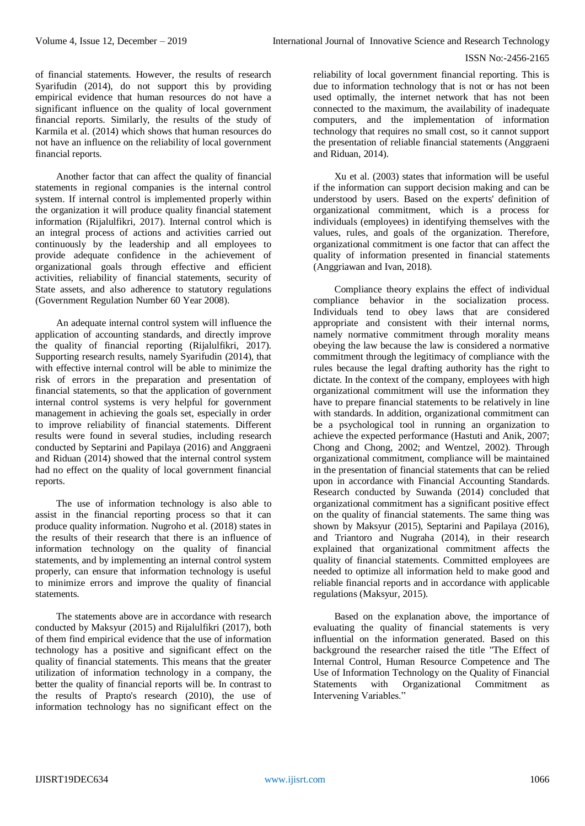of financial statements. However, the results of research Syarifudin (2014), do not support this by providing empirical evidence that human resources do not have a significant influence on the quality of local government financial reports. Similarly, the results of the study of Karmila et al. (2014) which shows that human resources do not have an influence on the reliability of local government financial reports.

Another factor that can affect the quality of financial statements in regional companies is the internal control system. If internal control is implemented properly within the organization it will produce quality financial statement information (Rijalulfikri, 2017). Internal control which is an integral process of actions and activities carried out continuously by the leadership and all employees to provide adequate confidence in the achievement of organizational goals through effective and efficient activities, reliability of financial statements, security of State assets, and also adherence to statutory regulations (Government Regulation Number 60 Year 2008).

An adequate internal control system will influence the application of accounting standards, and directly improve the quality of financial reporting (Rijalulfikri, 2017). Supporting research results, namely Syarifudin (2014), that with effective internal control will be able to minimize the risk of errors in the preparation and presentation of financial statements, so that the application of government internal control systems is very helpful for government management in achieving the goals set, especially in order to improve reliability of financial statements. Different results were found in several studies, including research conducted by Septarini and Papilaya (2016) and Anggraeni and Riduan (2014) showed that the internal control system had no effect on the quality of local government financial reports.

The use of information technology is also able to assist in the financial reporting process so that it can produce quality information. Nugroho et al. (2018) states in the results of their research that there is an influence of information technology on the quality of financial statements, and by implementing an internal control system properly, can ensure that information technology is useful to minimize errors and improve the quality of financial statements.

The statements above are in accordance with research conducted by Maksyur (2015) and Rijalulfikri (2017), both of them find empirical evidence that the use of information technology has a positive and significant effect on the quality of financial statements. This means that the greater utilization of information technology in a company, the better the quality of financial reports will be. In contrast to the results of Prapto's research (2010), the use of information technology has no significant effect on the

reliability of local government financial reporting. This is due to information technology that is not or has not been used optimally, the internet network that has not been connected to the maximum, the availability of inadequate computers, and the implementation of information technology that requires no small cost, so it cannot support the presentation of reliable financial statements (Anggraeni and Riduan, 2014).

Xu et al. (2003) states that information will be useful if the information can support decision making and can be understood by users. Based on the experts' definition of organizational commitment, which is a process for individuals (employees) in identifying themselves with the values, rules, and goals of the organization. Therefore, organizational commitment is one factor that can affect the quality of information presented in financial statements (Anggriawan and Ivan, 2018).

Compliance theory explains the effect of individual compliance behavior in the socialization process. Individuals tend to obey laws that are considered appropriate and consistent with their internal norms, namely normative commitment through morality means obeying the law because the law is considered a normative commitment through the legitimacy of compliance with the rules because the legal drafting authority has the right to dictate. In the context of the company, employees with high organizational commitment will use the information they have to prepare financial statements to be relatively in line with standards. In addition, organizational commitment can be a psychological tool in running an organization to achieve the expected performance (Hastuti and Anik, 2007; Chong and Chong, 2002; and Wentzel, 2002). Through organizational commitment, compliance will be maintained in the presentation of financial statements that can be relied upon in accordance with Financial Accounting Standards. Research conducted by Suwanda (2014) concluded that organizational commitment has a significant positive effect on the quality of financial statements. The same thing was shown by Maksyur (2015), Septarini and Papilaya (2016), and Triantoro and Nugraha (2014), in their research explained that organizational commitment affects the quality of financial statements. Committed employees are needed to optimize all information held to make good and reliable financial reports and in accordance with applicable regulations (Maksyur, 2015).

Based on the explanation above, the importance of evaluating the quality of financial statements is very influential on the information generated. Based on this background the researcher raised the title "The Effect of Internal Control, Human Resource Competence and The Use of Information Technology on the Quality of Financial Statements with Organizational Commitment as Intervening Variables."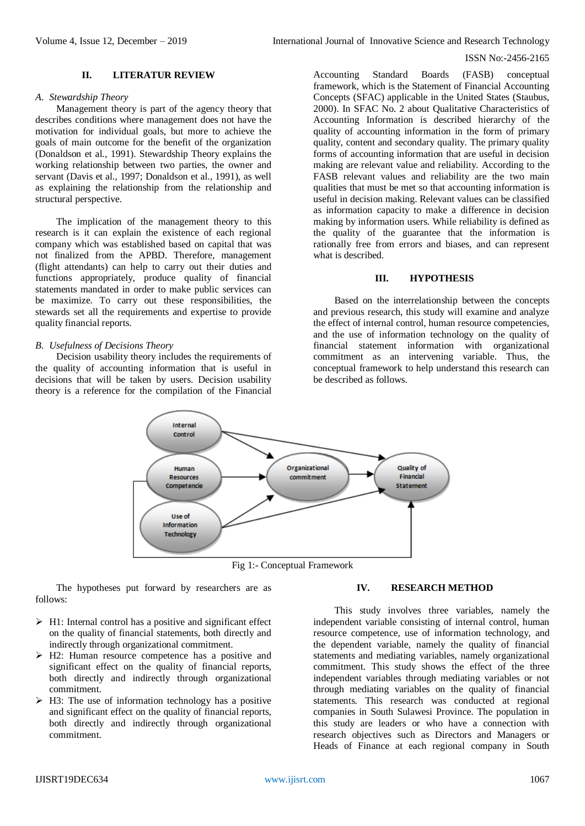## **II. LITERATUR REVIEW**

#### *A. Stewardship Theory*

Management theory is part of the agency theory that describes conditions where management does not have the motivation for individual goals, but more to achieve the goals of main outcome for the benefit of the organization (Donaldson et al., 1991). Stewardship Theory explains the working relationship between two parties, the owner and servant (Davis et al., 1997; Donaldson et al., 1991), as well as explaining the relationship from the relationship and structural perspective.

The implication of the management theory to this research is it can explain the existence of each regional company which was established based on capital that was not finalized from the APBD. Therefore, management (flight attendants) can help to carry out their duties and functions appropriately, produce quality of financial statements mandated in order to make public services can be maximize. To carry out these responsibilities, the stewards set all the requirements and expertise to provide quality financial reports.

#### *B. Usefulness of Decisions Theory*

Decision usability theory includes the requirements of the quality of accounting information that is useful in decisions that will be taken by users. Decision usability theory is a reference for the compilation of the Financial

Accounting Standard Boards (FASB) conceptual framework, which is the Statement of Financial Accounting Concepts (SFAC) applicable in the United States (Staubus, 2000). In SFAC No. 2 about Qualitative Characteristics of Accounting Information is described hierarchy of the quality of accounting information in the form of primary quality, content and secondary quality. The primary quality forms of accounting information that are useful in decision making are relevant value and reliability. According to the FASB relevant values and reliability are the two main qualities that must be met so that accounting information is useful in decision making. Relevant values can be classified as information capacity to make a difference in decision making by information users. While reliability is defined as the quality of the guarantee that the information is rationally free from errors and biases, and can represent what is described.

#### **III. HYPOTHESIS**

Based on the interrelationship between the concepts and previous research, this study will examine and analyze the effect of internal control, human resource competencies, and the use of information technology on the quality of financial statement information with organizational commitment as an intervening variable. Thus, the conceptual framework to help understand this research can be described as follows.



Fig 1:- Conceptual Framework

The hypotheses put forward by researchers are as follows:

- $\triangleright$  H1: Internal control has a positive and significant effect on the quality of financial statements, both directly and indirectly through organizational commitment.
- $\triangleright$  H2: Human resource competence has a positive and significant effect on the quality of financial reports, both directly and indirectly through organizational commitment.
- $\triangleright$  H3: The use of information technology has a positive and significant effect on the quality of financial reports, both directly and indirectly through organizational commitment.

# **IV. RESEARCH METHOD**

This study involves three variables, namely the independent variable consisting of internal control, human resource competence, use of information technology, and the dependent variable, namely the quality of financial statements and mediating variables, namely organizational commitment. This study shows the effect of the three independent variables through mediating variables or not through mediating variables on the quality of financial statements. This research was conducted at regional companies in South Sulawesi Province. The population in this study are leaders or who have a connection with research objectives such as Directors and Managers or Heads of Finance at each regional company in South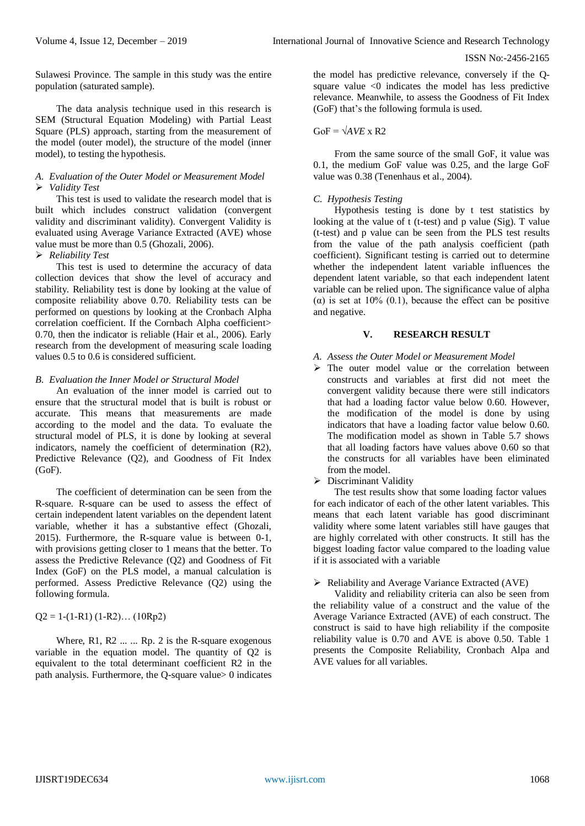Sulawesi Province. The sample in this study was the entire population (saturated sample).

The data analysis technique used in this research is SEM (Structural Equation Modeling) with Partial Least Square (PLS) approach, starting from the measurement of the model (outer model), the structure of the model (inner model), to testing the hypothesis.

# *A. Evaluation of the Outer Model or Measurement Model Validity Test*

This test is used to validate the research model that is built which includes construct validation (convergent validity and discriminant validity). Convergent Validity is evaluated using Average Variance Extracted (AVE) whose value must be more than 0.5 (Ghozali, 2006).

## *Reliability Test*

This test is used to determine the accuracy of data collection devices that show the level of accuracy and stability. Reliability test is done by looking at the value of composite reliability above 0.70. Reliability tests can be performed on questions by looking at the Cronbach Alpha correlation coefficient. If the Cornbach Alpha coefficient> 0.70, then the indicator is reliable (Hair et al., 2006). Early research from the development of measuring scale loading values 0.5 to 0.6 is considered sufficient.

# *B. Evaluation the Inner Model or Structural Model*

An evaluation of the inner model is carried out to ensure that the structural model that is built is robust or accurate. This means that measurements are made according to the model and the data. To evaluate the structural model of PLS, it is done by looking at several indicators, namely the coefficient of determination (R2), Predictive Relevance (Q2), and Goodness of Fit Index (GoF).

The coefficient of determination can be seen from the R-square. R-square can be used to assess the effect of certain independent latent variables on the dependent latent variable, whether it has a substantive effect (Ghozali, 2015). Furthermore, the R-square value is between 0-1, with provisions getting closer to 1 means that the better. To assess the Predictive Relevance (Q2) and Goodness of Fit Index (GoF) on the PLS model, a manual calculation is performed. Assess Predictive Relevance (Q2) using the following formula.

 $Q2 = 1-(1-R1)(1-R2)...(10Rp2)$ 

Where,  $R1$ ,  $R2$  ... ...  $Rp$ . 2 is the R-square exogenous variable in the equation model. The quantity of Q2 is equivalent to the total determinant coefficient R2 in the path analysis. Furthermore, the Q-square value> 0 indicates the model has predictive relevance, conversely if the Qsquare value <0 indicates the model has less predictive relevance. Meanwhile, to assess the Goodness of Fit Index (GoF) that's the following formula is used.

## $GoF = \sqrt{AVE} \times R2$

From the same source of the small GoF, it value was 0.1, the medium GoF value was 0.25, and the large GoF value was 0.38 (Tenenhaus et al., 2004).

## *C. Hypothesis Testing*

Hypothesis testing is done by t test statistics by looking at the value of  $t$  (t-test) and p value (Sig). T value (t-test) and p value can be seen from the PLS test results from the value of the path analysis coefficient (path coefficient). Significant testing is carried out to determine whether the independent latent variable influences the dependent latent variable, so that each independent latent variable can be relied upon. The significance value of alpha ( $\alpha$ ) is set at 10% (0.1), because the effect can be positive and negative.

# **V. RESEARCH RESULT**

#### *A. Assess the Outer Model or Measurement Model*

- $\triangleright$  The outer model value or the correlation between constructs and variables at first did not meet the convergent validity because there were still indicators that had a loading factor value below 0.60. However, the modification of the model is done by using indicators that have a loading factor value below 0.60. The modification model as shown in Table 5.7 shows that all loading factors have values above 0.60 so that the constructs for all variables have been eliminated from the model.
- > Discriminant Validity

The test results show that some loading factor values for each indicator of each of the other latent variables. This means that each latent variable has good discriminant validity where some latent variables still have gauges that are highly correlated with other constructs. It still has the biggest loading factor value compared to the loading value if it is associated with a variable

#### $\triangleright$  Reliability and Average Variance Extracted (AVE)

Validity and reliability criteria can also be seen from the reliability value of a construct and the value of the Average Variance Extracted (AVE) of each construct. The construct is said to have high reliability if the composite reliability value is 0.70 and AVE is above 0.50. Table 1 presents the Composite Reliability, Cronbach Alpa and AVE values for all variables.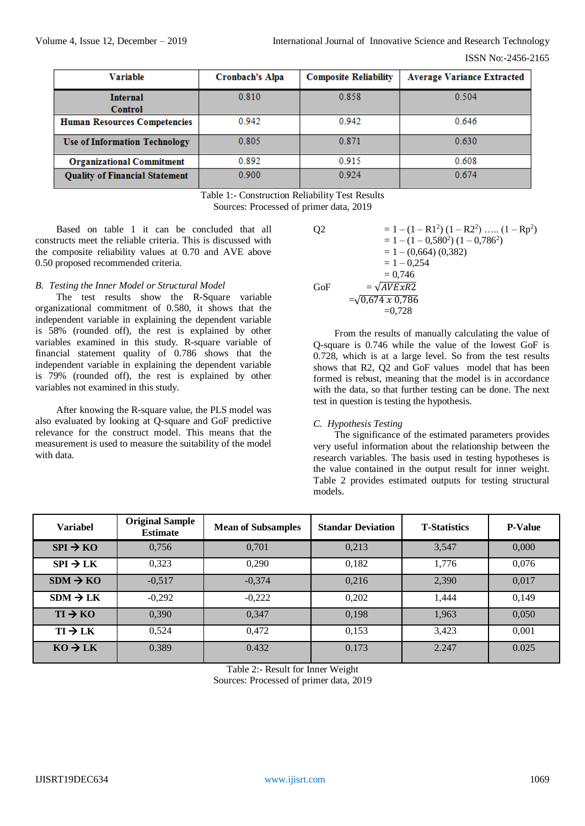| Variable                              | Cronbach's Alpa | <b>Composite Reliability</b> | <b>Average Variance Extracted</b> |  |
|---------------------------------------|-----------------|------------------------------|-----------------------------------|--|
| <b>Internal</b><br>Control            | 0.810           | 0.858                        | 0.504                             |  |
| <b>Human Resources Competencies</b>   | 0.942           | 0.942                        | 0.646                             |  |
| <b>Use of Information Technology</b>  | 0.805           | 0.871                        | 0.630                             |  |
| <b>Organizational Commitment</b>      | 0.892           | 0.915                        | 0.608                             |  |
| <b>Quality of Financial Statement</b> | 0.900           | 0.924                        | 0.674                             |  |

Table 1:- Construction Reliability Test Results Sources: Processed of primer data, 2019

Based on table 1 it can be concluded that all constructs meet the reliable criteria. This is discussed with the composite reliability values at 0.70 and AVE above 0.50 proposed recommended criteria.

# *B. Testing the Inner Model or Structural Model*

The test results show the R-Square variable organizational commitment of 0.580, it shows that the independent variable in explaining the dependent variable is 58% (rounded off), the rest is explained by other variables examined in this study. R-square variable of financial statement quality of 0.786 shows that the independent variable in explaining the dependent variable is 79% (rounded off), the rest is explained by other variables not examined in this study.

After knowing the R-square value, the PLS model was also evaluated by looking at Q-square and GoF predictive relevance for the construct model. This means that the measurement is used to measure the suitability of the model with data.

Q2 = 1 - (1 - R1<sup>2</sup>) (1 - R2<sup>2</sup>) ..... (1 - Rp<sup>2</sup>)  
\n= 1 - (1 - 0,580<sup>2</sup>) (1 - 0,786<sup>2</sup>)  
\n= 1 - (0,664) (0,382)  
\n= 1 - 0,254  
\n= 0,746  
\nGoF = 
$$
\sqrt{AVExR2}
$$
  
\n=  $\sqrt{0,674 \times 0,786}$   
\n= 0,728

From the results of manually calculating the value of Q-square is 0.746 while the value of the lowest GoF is 0.728, which is at a large level. So from the test results shows that R2, Q2 and GoF values model that has been formed is rebust, meaning that the model is in accordance with the data, so that further testing can be done. The next test in question is testing the hypothesis.

# *C. Hypothesis Testing*

The significance of the estimated parameters provides very useful information about the relationship between the research variables. The basis used in testing hypotheses is the value contained in the output result for inner weight. Table 2 provides estimated outputs for testing structural models.

| <b>Variabel</b>      | <b>Original Sample</b><br><b>Estimate</b> | <b>Mean of Subsamples</b> | <b>Standar Deviation</b> | <b>T-Statistics</b> | <b>P-Value</b> |
|----------------------|-------------------------------------------|---------------------------|--------------------------|---------------------|----------------|
| $SPI \rightarrow KO$ | 0,756                                     | 0,701                     | 0,213                    | 3,547               | 0,000          |
| $SPI \rightarrow LK$ | 0,323                                     | 0,290                     | 0,182                    | 1,776               | 0,076          |
| $SDM \rightarrow KO$ | $-0,517$                                  | $-0,374$                  | 0,216                    | 2,390               | 0,017          |
| $SDM \rightarrow LK$ | $-0,292$                                  | $-0,222$                  | 0,202                    | 1.444               | 0,149          |
| $TI \rightarrow KO$  | 0,390                                     | 0,347                     | 0,198                    | 1,963               | 0,050          |
| $TI \rightarrow LK$  | 0,524                                     | 0,472                     | 0,153                    | 3,423               | 0,001          |
| $KO \rightarrow LK$  | 0.389                                     | 0.432                     | 0.173                    | 2.247               | 0.025          |

Table 2:- Result for Inner Weight Sources: Processed of primer data, 2019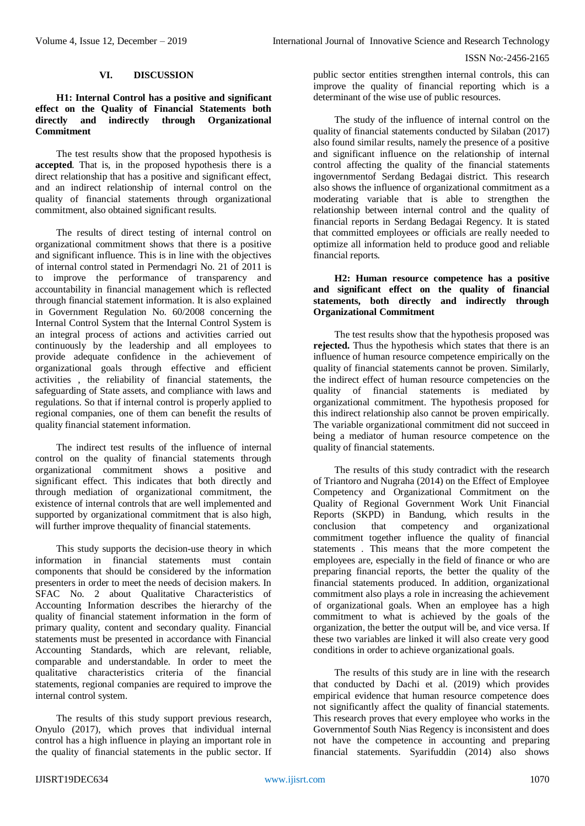#### **VI. DISCUSSION**

## **H1: Internal Control has a positive and significant effect on the Quality of Financial Statements both directly and indirectly through Organizational Commitment**

The test results show that the proposed hypothesis is **accepted**. That is, in the proposed hypothesis there is a direct relationship that has a positive and significant effect, and an indirect relationship of internal control on the quality of financial statements through organizational commitment, also obtained significant results.

The results of direct testing of internal control on organizational commitment shows that there is a positive and significant influence. This is in line with the objectives of internal control stated in Permendagri No. 21 of 2011 is to improve the performance of transparency and accountability in financial management which is reflected through financial statement information. It is also explained in Government Regulation No. 60/2008 concerning the Internal Control System that the Internal Control System is an integral process of actions and activities carried out continuously by the leadership and all employees to provide adequate confidence in the achievement of organizational goals through effective and efficient activities , the reliability of financial statements, the safeguarding of State assets, and compliance with laws and regulations. So that if internal control is properly applied to regional companies, one of them can benefit the results of quality financial statement information.

The indirect test results of the influence of internal control on the quality of financial statements through organizational commitment shows a positive and significant effect. This indicates that both directly and through mediation of organizational commitment, the existence of internal controls that are well implemented and supported by organizational commitment that is also high, will further improve thequality of financial statements.

This study supports the decision-use theory in which information in financial statements must contain components that should be considered by the information presenters in order to meet the needs of decision makers. In SFAC No. 2 about Qualitative Characteristics of Accounting Information describes the hierarchy of the quality of financial statement information in the form of primary quality, content and secondary quality. Financial statements must be presented in accordance with Financial Accounting Standards, which are relevant, reliable, comparable and understandable. In order to meet the qualitative characteristics criteria of the financial statements, regional companies are required to improve the internal control system.

The results of this study support previous research, Onyulo (2017), which proves that individual internal control has a high influence in playing an important role in the quality of financial statements in the public sector. If

public sector entities strengthen internal controls, this can improve the quality of financial reporting which is a determinant of the wise use of public resources.

The study of the influence of internal control on the quality of financial statements conducted by Silaban (2017) also found similar results, namely the presence of a positive and significant influence on the relationship of internal control affecting the quality of the financial statements ingovernmentof Serdang Bedagai district. This research also shows the influence of organizational commitment as a moderating variable that is able to strengthen the relationship between internal control and the quality of financial reports in Serdang Bedagai Regency. It is stated that committed employees or officials are really needed to optimize all information held to produce good and reliable financial reports.

## **H2: Human resource competence has a positive and significant effect on the quality of financial statements, both directly and indirectly through Organizational Commitment**

The test results show that the hypothesis proposed was **rejected.** Thus the hypothesis which states that there is an influence of human resource competence empirically on the quality of financial statements cannot be proven. Similarly, the indirect effect of human resource competencies on the quality of financial statements is mediated by organizational commitment. The hypothesis proposed for this indirect relationship also cannot be proven empirically. The variable organizational commitment did not succeed in being a mediator of human resource competence on the quality of financial statements.

The results of this study contradict with the research of Triantoro and Nugraha (2014) on the Effect of Employee Competency and Organizational Commitment on the Quality of Regional Government Work Unit Financial Reports (SKPD) in Bandung, which results in the conclusion that competency and organizational commitment together influence the quality of financial statements . This means that the more competent the employees are, especially in the field of finance or who are preparing financial reports, the better the quality of the financial statements produced. In addition, organizational commitment also plays a role in increasing the achievement of organizational goals. When an employee has a high commitment to what is achieved by the goals of the organization, the better the output will be, and vice versa. If these two variables are linked it will also create very good conditions in order to achieve organizational goals.

The results of this study are in line with the research that conducted by Dachi et al. (2019) which provides empirical evidence that human resource competence does not significantly affect the quality of financial statements. This research proves that every employee who works in the Governmentof South Nias Regency is inconsistent and does not have the competence in accounting and preparing financial statements. Syarifuddin (2014) also shows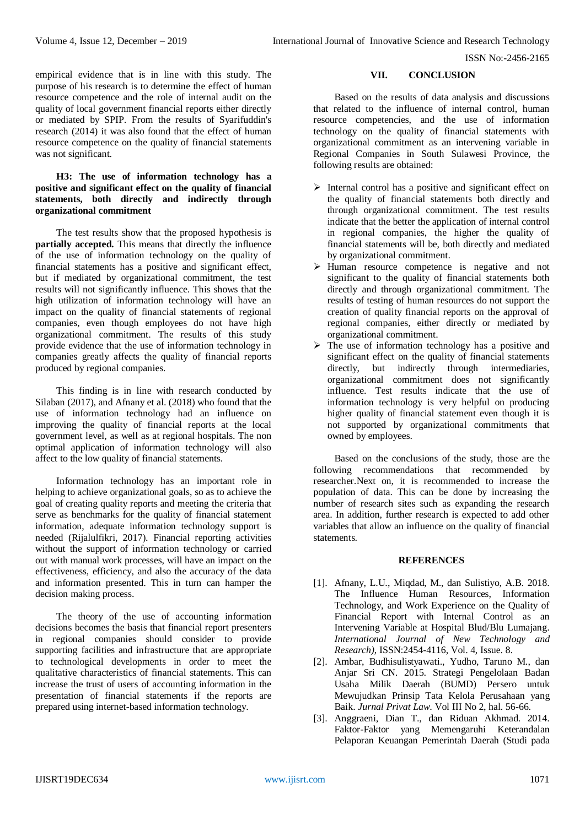empirical evidence that is in line with this study. The purpose of his research is to determine the effect of human resource competence and the role of internal audit on the quality of local government financial reports either directly or mediated by SPIP. From the results of Syarifuddin's research (2014) it was also found that the effect of human resource competence on the quality of financial statements was not significant.

# **H3: The use of information technology has a positive and significant effect on the quality of financial statements, both directly and indirectly through organizational commitment**

The test results show that the proposed hypothesis is **partially accepted.** This means that directly the influence of the use of information technology on the quality of financial statements has a positive and significant effect, but if mediated by organizational commitment, the test results will not significantly influence. This shows that the high utilization of information technology will have an impact on the quality of financial statements of regional companies, even though employees do not have high organizational commitment. The results of this study provide evidence that the use of information technology in companies greatly affects the quality of financial reports produced by regional companies.

This finding is in line with research conducted by Silaban (2017), and Afnany et al. (2018) who found that the use of information technology had an influence on improving the quality of financial reports at the local government level, as well as at regional hospitals. The non optimal application of information technology will also affect to the low quality of financial statements.

Information technology has an important role in helping to achieve organizational goals, so as to achieve the goal of creating quality reports and meeting the criteria that serve as benchmarks for the quality of financial statement information, adequate information technology support is needed (Rijalulfikri, 2017). Financial reporting activities without the support of information technology or carried out with manual work processes, will have an impact on the effectiveness, efficiency, and also the accuracy of the data and information presented. This in turn can hamper the decision making process.

The theory of the use of accounting information decisions becomes the basis that financial report presenters in regional companies should consider to provide supporting facilities and infrastructure that are appropriate to technological developments in order to meet the qualitative characteristics of financial statements. This can increase the trust of users of accounting information in the presentation of financial statements if the reports are prepared using internet-based information technology.

# **VII. CONCLUSION**

Based on the results of data analysis and discussions that related to the influence of internal control, human resource competencies, and the use of information technology on the quality of financial statements with organizational commitment as an intervening variable in Regional Companies in South Sulawesi Province, the following results are obtained:

- $\triangleright$  Internal control has a positive and significant effect on the quality of financial statements both directly and through organizational commitment. The test results indicate that the better the application of internal control in regional companies, the higher the quality of financial statements will be, both directly and mediated by organizational commitment.
- $\triangleright$  Human resource competence is negative and not significant to the quality of financial statements both directly and through organizational commitment. The results of testing of human resources do not support the creation of quality financial reports on the approval of regional companies, either directly or mediated by organizational commitment.
- $\triangleright$  The use of information technology has a positive and significant effect on the quality of financial statements directly, but indirectly through intermediaries, organizational commitment does not significantly influence. Test results indicate that the use of information technology is very helpful on producing higher quality of financial statement even though it is not supported by organizational commitments that owned by employees.

Based on the conclusions of the study, those are the following recommendations that recommended by researcher.Next on, it is recommended to increase the population of data. This can be done by increasing the number of research sites such as expanding the research area. In addition, further research is expected to add other variables that allow an influence on the quality of financial statements.

# **REFERENCES**

- [1]. Afnany, L.U., Miqdad, M., dan Sulistiyo, A.B. 2018. The Influence Human Resources, Information Technology, and Work Experience on the Quality of Financial Report with Internal Control as an Intervening Variable at Hospital Blud/Blu Lumajang. *International Journal of New Technology and Research)*, ISSN:2454-4116, Vol. 4, Issue. 8.
- [2]. Ambar, Budhisulistyawati., Yudho, Taruno M., dan Anjar Sri CN. 2015. Strategi Pengelolaan Badan Usaha Milik Daerah (BUMD) Persero untuk Mewujudkan Prinsip Tata Kelola Perusahaan yang Baik. *Jurnal Privat Law*. Vol III No 2, hal. 56-66.
- [3]. Anggraeni, Dian T., dan Riduan Akhmad. 2014. Faktor-Faktor yang Memengaruhi Keterandalan Pelaporan Keuangan Pemerintah Daerah (Studi pada